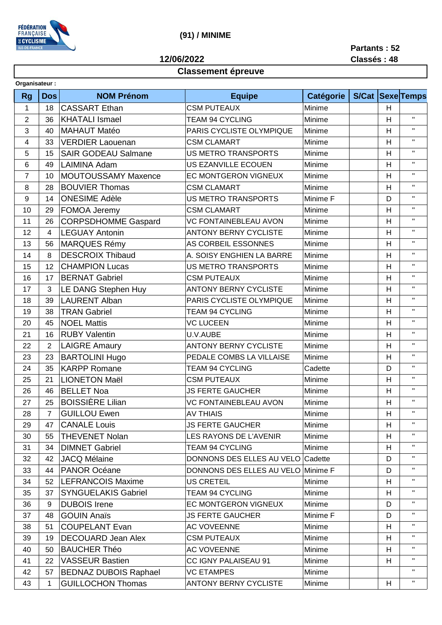

## **(91) / MINIME**

**12/06/2022**

**Partants : 52 Classés : 48**

## **Classement épreuve**

| Organisateur:  |                         |                              |                                    |                  |       |                |                    |
|----------------|-------------------------|------------------------------|------------------------------------|------------------|-------|----------------|--------------------|
| <b>Rg</b>      | <b>Dos</b>              | <b>NOM Prénom</b>            | <b>Equipe</b>                      | <b>Catégorie</b> | S/Cat |                | Sexe Temps         |
| 1              | 18                      | <b>CASSART Ethan</b>         | Minime<br><b>CSM PUTEAUX</b>       |                  |       | H              |                    |
| $\overline{2}$ | 36                      | <b>KHATALI Ismael</b>        | <b>TEAM 94 CYCLING</b><br>Minime   |                  |       | H              | $\mathbf{H}$       |
| 3              | 40                      | <b>MAHAUT Matéo</b>          | PARIS CYCLISTE OLYMPIQUE<br>Minime |                  |       | H              | $\mathbf H$        |
| 4              | 33                      | <b>VERDIER Laouenan</b>      | <b>CSM CLAMART</b><br>Minime       |                  |       | H              | $\mathbf{H}$       |
| 5              | 15                      | <b>SAIR GODEAU Salmane</b>   | <b>US METRO TRANSPORTS</b>         | Minime           |       | H              | $\pmb{\mathsf{H}}$ |
| 6              | 49                      | <b>LAIMINA Adam</b>          | <b>US EZANVILLE ECOUEN</b>         | Minime           |       | H              | $\mathbf{H}$       |
| $\overline{7}$ | 10                      | <b>MOUTOUSSAMY Maxence</b>   | EC MONTGERON VIGNEUX               | Minime           |       | H              | $\mathbf{H}$       |
| 8              | 28                      | <b>BOUVIER Thomas</b>        | <b>CSM CLAMART</b>                 | Minime           |       | H              | $\mathbf{H}$       |
| 9              | 14                      | <b>ONESIME Adèle</b>         | <b>US METRO TRANSPORTS</b>         | Minime F         |       | D              | $\mathbf{H}$       |
| 10             | 29                      | FOMOA Jeremy                 | <b>CSM CLAMART</b>                 | Minime           |       | H              | $\mathbf H$        |
| 11             | 26                      | <b>CORPSDHOMME Gaspard</b>   | <b>VC FONTAINEBLEAU AVON</b>       | Minime           |       | $\mathsf{H}$   | $\mathbf H$        |
| 12             | $\overline{\mathbf{4}}$ | <b>LEGUAY Antonin</b>        | <b>ANTONY BERNY CYCLISTE</b>       | Minime           |       | H              | $\mathbf{H}$       |
| 13             | 56                      | <b>MARQUES Rémy</b>          | AS CORBEIL ESSONNES                | Minime           |       | H              | $\mathbf{H}$       |
| 14             | 8                       | <b>DESCROIX Thibaud</b>      | A. SOISY ENGHIEN LA BARRE          | Minime           |       | $\overline{H}$ | $\mathbf H$        |
| 15             | 12                      | <b>CHAMPION Lucas</b>        | <b>US METRO TRANSPORTS</b>         | Minime           |       | $\mathsf{H}$   | $\mathbf{H}$       |
| 16             | 17                      | <b>BERNAT Gabriel</b>        | <b>CSM PUTEAUX</b>                 | Minime           |       | H              | $\pmb{\mathsf{H}}$ |
| 17             | 3                       | LE DANG Stephen Huy          | <b>ANTONY BERNY CYCLISTE</b>       | Minime           |       | H              | $\mathbf{H}$       |
| 18             | 39                      | <b>LAURENT Alban</b>         | PARIS CYCLISTE OLYMPIQUE           | Minime           |       | H              | $\mathbf{H}$       |
| 19             | 38                      | <b>TRAN Gabriel</b>          | <b>TEAM 94 CYCLING</b>             | Minime           |       | H              | $\mathbf{H}$       |
| 20             | 45                      | <b>NOEL Mattis</b>           | <b>VC LUCEEN</b>                   | Minime           |       | H              | $\mathbf{H}$       |
| 21             | 16                      | <b>RUBY Valentin</b>         | U.V.AUBE                           | Minime           |       | H              | $\mathbf H$        |
| 22             | $\sqrt{2}$              | <b>LAIGRE Amaury</b>         | <b>ANTONY BERNY CYCLISTE</b>       | Minime           |       | H              | $\mathbf H$        |
| 23             | 23                      | <b>BARTOLINI Hugo</b>        | PEDALE COMBS LA VILLAISE           | Minime           |       | H              | $\mathbf H$        |
| 24             | 35                      | <b>KARPP Romane</b>          | <b>TEAM 94 CYCLING</b>             | Cadette          |       | D              | $\mathbf{H}$       |
| 25             | 21                      | <b>LIONETON Maël</b>         | <b>CSM PUTEAUX</b>                 | Minime           |       | H              | $\mathbf{H}$       |
| 26             | 46                      | <b>BELLET Noa</b>            | <b>JS FERTE GAUCHER</b>            | Minime           |       | $\overline{H}$ | $\mathbf H$        |
| 27             | 25                      | <b>BOISSIÈRE Lilian</b>      | <b>VC FONTAINEBLEAU AVON</b>       | Minime           |       | $\mathsf{H}$   | $\pmb{\mathsf{H}}$ |
| 28             | 7                       | <b>GUILLOU Ewen</b>          | AV THIAIS                          | Minime           |       | H              |                    |
| 29             | 47                      | <b>CANALE Louis</b>          | <b>JS FERTE GAUCHER</b>            | Minime           |       | H              | $\mathbf{H}$       |
| 30             | 55                      | <b>THEVENET Nolan</b>        | <b>LES RAYONS DE L'AVENIR</b>      | Minime           |       | H              | $\mathbf{H}$       |
| 31             | 34                      | <b>DIMNET Gabriel</b>        | <b>TEAM 94 CYCLING</b>             | Minime           |       | H              | $\mathbf H$        |
| 32             | 42                      | <b>JACQ Mélaine</b>          | DONNONS DES ELLES AU VELO Cadette  |                  |       | D              | $\mathbf{H}$       |
| 33             | 44                      | <b>PANOR Océane</b>          | DONNONS DES ELLES AU VELO Minime F |                  |       | D              | $\mathbf{H}$       |
| 34             | 52                      | <b>LEFRANCOIS Maxime</b>     | <b>US CRETEIL</b>                  | Minime           |       | H              | $\mathbf H$        |
| 35             | 37                      | <b>SYNGUELAKIS Gabriel</b>   | <b>TEAM 94 CYCLING</b>             | Minime           |       | H              | $\mathbf H$        |
| 36             | 9                       | <b>DUBOIS Irene</b>          | <b>EC MONTGERON VIGNEUX</b>        | Minime           |       | D              | $\mathbf H$        |
| 37             | 48                      | <b>GOUIN Anaïs</b>           | <b>JS FERTE GAUCHER</b>            | Minime F         |       | D              | $\mathbf{H}$       |
| 38             | 51                      | <b>COUPELANT Evan</b>        | <b>AC VOVEENNE</b>                 | Minime           |       | H              | $\mathbf H$        |
| 39             | 19                      | <b>DECOUARD Jean Alex</b>    | <b>CSM PUTEAUX</b>                 | Minime           |       | H              | $\mathbf{H}$       |
| 40             | 50                      | <b>BAUCHER Théo</b>          | <b>AC VOVEENNE</b>                 | Minime           |       | H              | $\mathbf{H}$       |
| 41             | 22                      | <b>VASSEUR Bastien</b>       | CC IGNY PALAISEAU 91               | Minime           |       | H              | $\mathbf{H}$       |
| 42             | 57                      | <b>BEDNAZ DUBOIS Raphael</b> | <b>VC ETAMPES</b>                  | Minime           |       |                | $\mathbf{H}$       |
| 43             | 1                       | <b>GUILLOCHON Thomas</b>     | <b>ANTONY BERNY CYCLISTE</b>       | Minime           |       | H              | Π.                 |